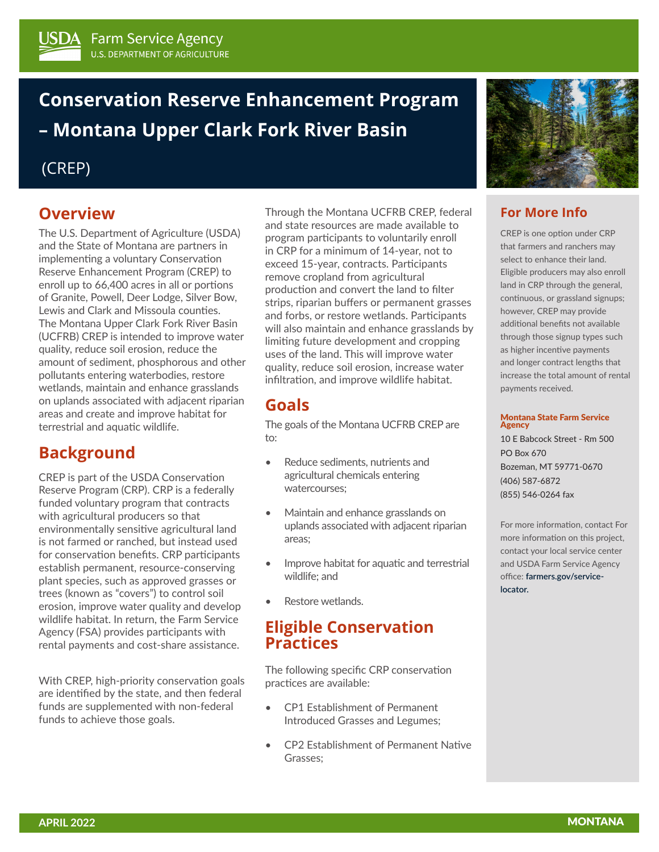# **Conservation Reserve Enhancement Program – Montana Upper Clark Fork River Basin**

### (CREP)

### **Overview**

The U.S. Department of Agriculture (USDA) and the State of Montana are partners in implementing a voluntary Conservation Reserve Enhancement Program (CREP) to enroll up to 66,400 acres in all or portions of Granite, Powell, Deer Lodge, Silver Bow, Lewis and Clark and Missoula counties. The Montana Upper Clark Fork River Basin (UCFRB) CREP is intended to improve water quality, reduce soil erosion, reduce the amount of sediment, phosphorous and other pollutants entering waterbodies, restore wetlands, maintain and enhance grasslands on uplands associated with adjacent riparian areas and create and improve habitat for terrestrial and aquatic wildlife.

### **Background**

CREP is part of the USDA Conservation Reserve Program (CRP). CRP is a federally funded voluntary program that contracts with agricultural producers so that environmentally sensitive agricultural land is not farmed or ranched, but instead used for conservation benefits. CRP participants establish permanent, resource-conserving plant species, such as approved grasses or trees (known as "covers") to control soil erosion, improve water quality and develop wildlife habitat. In return, the Farm Service Agency (FSA) provides participants with rental payments and cost-share assistance.

With CREP, high-priority conservation goals are identified by the state, and then federal funds are supplemented with non-federal funds to achieve those goals.

Through the Montana UCFRB CREP, federal and state resources are made available to program participants to voluntarily enroll in CRP for a minimum of 14-year, not to exceed 15-year, contracts. Participants remove cropland from agricultural production and convert the land to filter strips, riparian buffers or permanent grasses and forbs, or restore wetlands. Participants will also maintain and enhance grasslands by limiting future development and cropping uses of the land. This will improve water quality, reduce soil erosion, increase water infiltration, and improve wildlife habitat.

### **Goals**

The goals of the Montana UCFRB CREP are to:

- Reduce sediments, nutrients and agricultural chemicals entering watercourses;
- Maintain and enhance grasslands on uplands associated with adjacent riparian areas;
- Improve habitat for aquatic and terrestrial wildlife; and
- Restore wetlands.

### **Eligible Conservation Practices**

The following specific CRP conservation practices are available:

- CP1 Establishment of Permanent Introduced Grasses and Legumes;
- CP2 Establishment of Permanent Native Grasses;



### **For More Info**

CREP is one option under CRP that farmers and ranchers may select to enhance their land. Eligible producers may also enroll land in CRP through the general, continuous, or grassland signups; however, CREP may provide additional benefits not available through those signup types such as higher incentive payments and longer contract lengths that increase the total amount of rental payments received.

#### Montana State Farm Service **Agency**

10 E Babcock Street - Rm 500 PO Box 670 Bozeman, MT 59771-0670 (406) 587-6872 (855) 546-0264 fax

For more information, contact For more information on this project, contact your local service center and USDA Farm Service Agency office: **[farmers.gov/service](http://farmers.gov/service-locator)[locator.](http://farmers.gov/service-locator)**